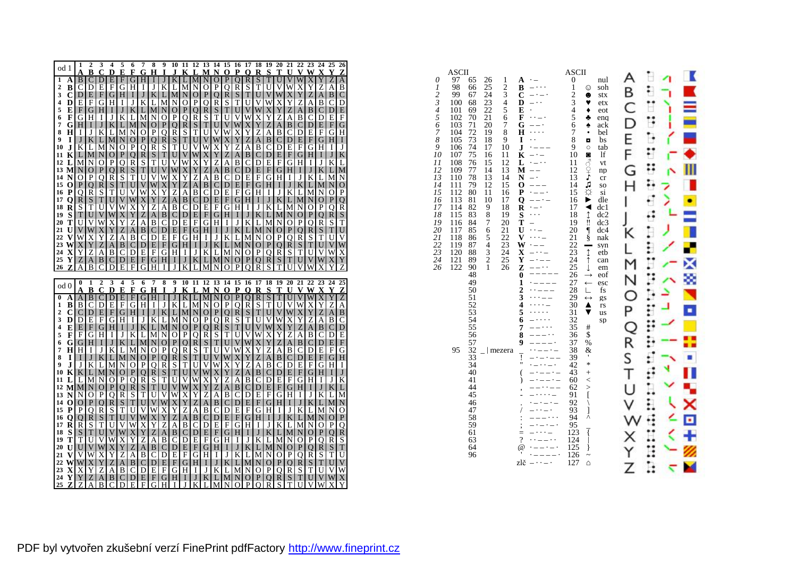|              | od 1           | 1                 | $\overline{\mathbf{c}}$    |                     | $3\quad 4$              | - 5                                                                                           |              |                                         | 6 7 8 9 10 11 12 13 14 15 16 17 18 19 20 21 22 23 24 25 26                                                     |                               |                          |                  |                |                               |                             |                               |                     |                                      |                     |                   |                              |                                        |                         |                           |                                                |                       |                     |
|--------------|----------------|-------------------|----------------------------|---------------------|-------------------------|-----------------------------------------------------------------------------------------------|--------------|-----------------------------------------|----------------------------------------------------------------------------------------------------------------|-------------------------------|--------------------------|------------------|----------------|-------------------------------|-----------------------------|-------------------------------|---------------------|--------------------------------------|---------------------|-------------------|------------------------------|----------------------------------------|-------------------------|---------------------------|------------------------------------------------|-----------------------|---------------------|
|              |                | $\vert$ B         | в<br>C                     | $C_{D}$<br>D        | E                       | Е<br>F                                                                                        | G            | F G<br>H                                | $\mathbf H$                                                                                                    | $\mathbf I$<br>J              | J<br>K                   | K                | L              | N                             | M N<br>$\Omega$             | $\mathbf o$<br>$\overline{P}$ | P<br>$\overline{O}$ | $\mathbf 0$<br>$\overline{\text{R}}$ | R<br>$\overline{S}$ | S<br>T            | Т<br>$\overline{\mathrm{U}}$ | U<br>V                                 | W                       | $\overline{\text{X}}$     | <b>VWXY</b>                                    | $\overline{\text{z}}$ | z<br>A              |
|              | ιA<br>2 B      | $\mathbf{C}$      | D                          | Е                   | F                       |                                                                                               | G H          | Ι.                                      |                                                                                                                | J K                           | L                        | L<br>M N         | М              |                               | OIP                         | 0                             | $\mathbb{R}$        | S                                    | T                   | U                 | V                            | W                                      | X                       | Y                         | Z                                              | А                     | В                   |
|              | $3\,C$         | D E               |                            |                     | F[G]                    | H                                                                                             |              | $\vert$ $\vert$ $\vert$ $\vert$ $\vert$ |                                                                                                                | K L                           |                          | M N O            |                |                               | P[Q]                        |                               | R S                 | $\mathbf T$                          | U                   | V W               |                              | X Y                                    |                         | $\ensuremath{\mathbf{Z}}$ | A                                              | B                     | С                   |
|              | 4 D            | E                 | F                          |                     | <b>GIH</b>              | Ι.                                                                                            |              | J K                                     | L                                                                                                              | IM.                           | N                        | $Ol$ P           |                |                               | Q R                         | S                             | T I                 | U                                    |                     | V W               | X                            | Y                                      | Z                       | A                         | $\mathbf{B}$                                   | C                     | D                   |
|              | 5 E            |                   | F G                        |                     | H I                     |                                                                                               | $J$ K L      |                                         |                                                                                                                |                               | $M[N]$ O $ P Q$          |                  |                |                               | R S                         |                               | T U V               |                                      |                     | W X               | Y                            |                                        | Z A                     |                           | <b>BIC</b>                                     | D                     | Е                   |
| $\mathbf{6}$ | F              |                   | <b>GIH</b>                 | Ι.                  | $J \mid$                |                                                                                               | $KLL$ M      |                                         |                                                                                                                | N   O                         | P                        | 0 R              |                |                               | S T                         | U                             | V.                  | W                                    | $\overline{X}$      | Y                 | Ζ                            | A                                      | B                       | C                         | I DI E                                         |                       | F                   |
|              | 7 G            | H                 | $\bf{I}$                   |                     | J K                     |                                                                                               | $L$ M N      |                                         |                                                                                                                | O P                           |                          | 0 R              | S              |                               | $T$ U                       |                               | V W X               |                                      | Y <sub>l</sub>      | Z                 | A                            | $\vert$ B                              | C                       | D                         | I E I                                          | F                     | G                   |
|              | 3H             | - I I             | J                          |                     | K L                     |                                                                                               | M N O        |                                         |                                                                                                                | P O                           |                          | R S              | T              |                               | U V                         |                               | WXY                 |                                      | ${\bf Z}$           |                   |                              | $A$ $B$ $C$                            | D                       |                           | EIF[G]                                         |                       | Η                   |
| 9.           | <b>I</b>       |                   | J K                        |                     |                         | $L$ MNOP                                                                                      |              |                                         |                                                                                                                | 0RI                           | S                        | $T$ U            |                |                               | $V$ $W$                     | $\mathbf{X}$                  | Y                   | Z                                    |                     | $A$ $B$ $C$       |                              | D E                                    |                         |                           | F G H                                          |                       | П                   |
|              |                | $0$ J K L         |                            |                     | M N                     |                                                                                               | OPO          |                                         |                                                                                                                | R[S]                          |                          | T U V            |                |                               | W X                         |                               | Y Z A               |                                      |                     |                   |                              | B C D E                                | $_{\rm F}$              |                           | $G$ $H$ $I$                                    |                       | J                   |
|              | 1 K            | $L$ M             |                            |                     | N O                     |                                                                                               | P[Q R]       |                                         |                                                                                                                | S T <br>$T \tilde{U} $        |                          | U V W            |                |                               | $X$ $Y$                     |                               | $Z$ A $B$           |                                      |                     |                   |                              |                                        |                         |                           | $C[D]E[F[G]H]IJ$                               |                       | K                   |
|              | 2 L            | M N               |                            |                     | O P                     |                                                                                               | $Q$ $R$ $S$  |                                         |                                                                                                                | U V                           |                          | V W X<br>WXY     |                | Y                             | Z<br>$Z$ A B $C$ D          | A                             | B                   | $\mathsf{C}$                         |                     | D E F             |                              | G[H]<br>$E$ $F$ $G$ $H$ $I$            |                         |                           | $I$ J K<br>$J$ K L                             |                       | L                   |
|              | 4 N            | 3 M N O           | OI P                       |                     | 0 <sub>R</sub>          |                                                                                               | $S$ T $U$    | P[Q[R]S[T]                              |                                                                                                                | V W                           | X <sub>Y</sub>           |                  | Ζ              |                               | A B                         |                               | $C$ $D$ $E$         |                                      |                     |                   |                              | F[G]H[I]                               | J                       |                           | $K$ L $M$                                      |                       | M<br>N              |
|              | 5 O            | P O               |                            |                     | R S                     |                                                                                               | T U V        |                                         |                                                                                                                |                               | W X Y Z A                |                  |                |                               | B C D E F                   |                               |                     |                                      |                     |                   |                              | $G$ H I J K L                          |                         |                           | M N                                            |                       | O                   |
|              | 6 P            | O R               |                            |                     | $S$ T                   |                                                                                               | U V W        |                                         |                                                                                                                | $\overline{X}$ $\overline{Y}$ | $\overline{z}$           | $A$ $B$          |                |                               | $C$ $D$ $E$ $F$ $G$ $H$ $I$ |                               |                     |                                      |                     |                   |                              | $J$ $K$ $L$                            |                         |                           | M N O                                          |                       | P                   |
|              | 7 Q            | $R$ S             |                            |                     | T U                     |                                                                                               |              |                                         |                                                                                                                | Y Z                           |                          | A B C            |                |                               | D E F G H                   |                               |                     |                                      |                     | $I$ J K           |                              | $L \, M$                               |                         | N                         | $\overline{O}$                                 | P                     | Q                   |
|              | 8 R            | S                 | Т                          |                     | U V                     | $\begin{array}{c} \nabla \text{ } W \text{ } X \\ \nabla \text{ } X \text{ } Y \n\end{array}$ |              |                                         | Z                                                                                                              | $\mathbf{A}$                  |                          | B <sub>IC</sub>  | D              |                               | E F                         |                               | GHI I               |                                      |                     | $J$ K L           |                              | M N                                    |                         | 0                         | P                                              | 0                     | R                   |
|              | 9 S            | $\overline{T}$ U  |                            |                     | V W X                   |                                                                                               | YZ           |                                         |                                                                                                                |                               | A B C D E                |                  |                |                               | F[G H I J]                  |                               |                     |                                      |                     |                   |                              | $K$ L M N O                            |                         | $\mathbf{P}$              | 0 <sub>R</sub>                                 |                       | S                   |
|              | 0T             | U                 | V                          |                     | W X                     | Y                                                                                             | Z A          |                                         |                                                                                                                | B C                           |                          | $D$ $E$ $F$      |                |                               | $G$ H I J K                 |                               |                     |                                      | $\mathbf{L}$        |                   |                              | MNOP                                   |                         |                           | QRI                                            | S                     | T                   |
|              | 1 U            | V W               |                            |                     | X Y                     |                                                                                               |              | Z A B                                   |                                                                                                                |                               | C[D] E[F[G] H] I[J] K[L] |                  |                |                               |                             |                               |                     |                                      |                     |                   |                              | M N O P Q                              |                         |                           | R S T                                          |                       | U                   |
|              | 2 V            | W X               |                            | Y                   | Ζ                       |                                                                                               | $A$ B C      |                                         |                                                                                                                | DIE                           |                          | F[G]H            |                |                               | $I$ J K L M                 |                               |                     |                                      | N                   | O[ <sub>P</sub> ] |                              | 0 <sup>R</sup>                         |                         | S                         | T <sub>U</sub>                                 |                       | V                   |
|              |                | $3 \text{ W} X$   | $\mathbf Y$                | Z                   | $\mathbf{A}$            |                                                                                               | B C D        |                                         |                                                                                                                | E F                           |                          | $G$  H  I        |                |                               | J K L M N                   |                               |                     |                                      |                     | O P               | $\Omega$                     | R[S]                                   |                         |                           | T U V                                          |                       | W                   |
|              | 4 X            | Y                 | $\overline{z}$             | $\mathbf{A}$        | B                       |                                                                                               | $C$ D $E$    |                                         | F                                                                                                              | G <sub>H</sub>                |                          | $\bf{I}$         | J              |                               | K L M N                     |                               |                     | O <sub>1</sub> P                     |                     | O R               |                              | S                                      | T                       |                           | U V W                                          |                       | X                   |
|              | 5 Y            | $Z_{\parallel}$   | A                          | B<br>$\overline{C}$ | C<br>D                  | D<br>E                                                                                        | EIF          | G                                       |                                                                                                                | G[H]<br>I                     | $\perp$<br>J             | J                | $\bf K$<br>I   |                               | L M N                       |                               | $\circ$<br>P        | P<br>O                               | $\overline{Q}$<br>R | R <br>S           | S<br>т                       | T<br>U                                 | U<br>V                  | V<br>W                    | W.                                             | X                     | Y<br>Z              |
|              | 6Z             | A                 | B                          |                     |                         |                                                                                               | F            |                                         | Н                                                                                                              |                               |                          | K                |                | М                             |                             | О                             |                     |                                      |                     |                   |                              |                                        |                         |                           |                                                |                       |                     |
|              |                |                   |                            |                     |                         |                                                                                               |              |                                         |                                                                                                                |                               |                          |                  |                |                               |                             |                               |                     |                                      |                     |                   |                              |                                        |                         |                           |                                                |                       |                     |
|              |                | $\bf{0}$          | $\mathbf{1}$               | $\overline{2}$      | $\overline{\mathbf{3}}$ | $\overline{4}$                                                                                | $5\quad 6$   |                                         | $7\overline{ }$                                                                                                | 8                             |                          |                  |                |                               |                             |                               |                     |                                      |                     |                   |                              |                                        |                         |                           | 9 10 11 12 13 14 15 16 17 18 19 20 21 22 23 24 |                       | 25                  |
|              | 0 bc           |                   | B                          |                     | $C$ D                   | E                                                                                             | $\mathbf{F}$ | G.                                      | н                                                                                                              | $\mathbf I$                   | ${\bf J}$                | K                | T.             | M N                           |                             | $\Omega$                      | P                   | 0                                    | R                   | S                 | т                            | $\mathbf{U}$                           |                         | $V$ W X                   |                                                | $\mathbf{V}$          | Z                   |
|              | A              |                   | $A \mid B$                 | $\mathbf C$         | D                       | E                                                                                             | F G          |                                         |                                                                                                                | H I                           | J                        | K L              |                | $\overline{M}$ $\overline{N}$ |                             | $\mathbf{O}$                  | $\mathbf{P}$        | $\mathbf Q$                          | $\overline{R}$      | $\overline{S}$    | T                            | U                                      | $\overline{\mathsf{V}}$ | W                         | X                                              | Y                     |                     |
|              | 1 B            | $\vert B \vert$   | $\overline{C}$             |                     | DIE                     |                                                                                               | F[G]H        |                                         | $\mathbf{I}$                                                                                                   | JΙ                            |                          | $K$ L $M$        |                |                               | $N[O]$ $P[O]$ $R$           |                               |                     |                                      |                     | $S$ $T$ $U$       |                              | V                                      | W                       | Х                         | Y                                              | Z                     | А                   |
|              | 2 $\mathbf{C}$ |                   | C D                        |                     | E F                     |                                                                                               |              | $G$ $H$ $I$                             |                                                                                                                |                               | $J$ K L M N              |                  |                |                               | O P                         |                               | O R S               |                                      |                     | T U V             |                              | W X                                    |                         | Y                         | Z                                              | A                     | B                   |
|              | $3$ D          | D/E               |                            |                     |                         | $F[G]$ H                                                                                      | $\perp$      | J                                       |                                                                                                                | K L                           |                          | M N O            |                |                               | P[Q R S]                    |                               |                     | T                                    |                     | U V W             |                              | X                                      | Y                       | Ζ                         | AI                                             | B                     | C                   |
|              | 1 E            |                   | E F                        |                     |                         |                                                                                               |              | $G$ $H$ $I$ $J$ $K$                     |                                                                                                                |                               | $L$ MNOP                 |                  |                |                               | O[RISITI]                   |                               |                     |                                      | V                   | W X               |                              | Y                                      | Ζ                       |                           | A B C                                          |                       | D                   |
|              | F              | $_{\rm F}$        | G                          | HI I                |                         |                                                                                               | $J$ K $L$    |                                         | M N                                                                                                            |                               |                          | O P              | O              | R                             | l S I                       | TIU                           |                     | V                                    | W                   | $\overline{X}$    | Y                            | Z                                      | A                       | B                         | <b>CID</b>                                     |                       | Е                   |
| 5            | 6G             | G/H               |                            |                     | $I \mid J \mid$         |                                                                                               | K L M        |                                         |                                                                                                                | N <sub>o</sub>                |                          | $P$ Q R          |                |                               | STUVW                       | V                             |                     |                                      | $\mathbf X$         | Y                 | Z                            | A <sub>l</sub>                         | $\, {\bf B} \,$         |                           | $C$ $D$ $E$                                    |                       | F                   |
| 3            | $\bf I$        | $7$ H H<br>$\top$ | $\bf{I}$<br>J <sub>1</sub> |                     |                         | J K L M N                                                                                     |              |                                         |                                                                                                                | O P                           | P[Q R S]                 | $Q$ R $S$        | T              |                               | T <sub>U</sub>              |                               | W X<br>X Y          |                                      | Y                   | Ζ                 | A                            | B                                      | C                       |                           | D E F<br>$E$ $F$ $G$                           |                       | G<br>H              |
|              | J              |                   | J K                        |                     |                         | $K$ L M N O<br>$L$ M N O P                                                                    |              |                                         |                                                                                                                | O R                           |                          | $S$ T U          |                |                               | $U$ V $W$<br>V W X          |                               | Y                   | Z                                    |                     |                   |                              | $Z$ A $B$ C $D$<br>$A$ $B$ $C$ $D$ $E$ |                         |                           | FIGIH                                          |                       | I                   |
|              |                | 0 K K L           |                            |                     |                         | MNOPO                                                                                         |              |                                         |                                                                                                                |                               | R[S T U V]               |                  |                |                               | W X Y                       |                               | Z A                 |                                      |                     |                   |                              | B C D E F                              |                         |                           | $G$ H I                                        |                       | J                   |
|              | $1 \mathrm{L}$ |                   | L M                        | N                   | $\overline{O}$          |                                                                                               | PQR          |                                         |                                                                                                                | $S$ $T$                       | U                        | VW               |                | $\overline{X}$                | $\overline{\mathbf{Y}}$     | Z                             | AB                  |                                      | $\mathbf C$         | D E               |                              | $_{\rm F}$                             | G                       |                           | HI I I                                         | J                     | K                   |
|              |                |                   |                            | 2 MMNOP             |                         |                                                                                               | O R S        |                                         |                                                                                                                |                               | $T$ UVWX                 |                  |                |                               | YZ                          |                               | $A$ $B$ $C$         |                                      |                     |                   |                              | $DE$ FGH                               |                         |                           | $I$ J $K$                                      |                       | L                   |
|              | 3 N            | $\mathbf N$       | $\mathbf{O}$               |                     | PO                      |                                                                                               | $R$ S T      |                                         |                                                                                                                | U V                           |                          | W X              | Y              |                               | $Z$ A $B$ C                 |                               |                     | D                                    |                     | E F               |                              | $G$ H I                                |                         |                           | $J$ K L                                        |                       | М                   |
|              | 4 O            | O P               |                            |                     | Q R                     |                                                                                               | S T U        |                                         |                                                                                                                | V W                           |                          | X Y              | Z              |                               | A B C D E                   |                               |                     |                                      |                     |                   |                              | $F$ G $H$ IJ                           |                         |                           | $K$ $L$ $M$                                    |                       | N                   |
|              | 5 P            | P                 | Q                          |                     | R S                     |                                                                                               | T U V        |                                         |                                                                                                                | W X                           | Y                        | Z                | A              |                               | B C D E F                   |                               |                     |                                      |                     | GH                | -I l                         | J K                                    |                         | L                         | M N                                            |                       | Ő                   |
|              | 6 O            | <sup>O</sup>      | $\mathbb{R}$               |                     | S T                     |                                                                                               | U V W        |                                         |                                                                                                                | X Y                           | Z                        | A                | $\, {\bf B}$   |                               | $C$ $D$ $E$ $F$             |                               |                     | G                                    |                     | H I               | J <sub>1</sub>               | $K$   L                                |                         |                           | M N                                            | $\Omega$              | P                   |
|              | 7 R            | $\vert R \vert$   | S                          |                     | TU                      | V                                                                                             | WX           |                                         | Y                                                                                                              | $\overline{z}$                | A                        | B                | $\overline{C}$ |                               | DI E                        |                               |                     | F[G]H                                |                     |                   |                              | $I$ J K L                              | M                       | N                         | O <sub>1</sub> P                               |                       | 0                   |
|              | 8 S            |                   | S T                        |                     | U V                     | $\ensuremath{\text{W}}$                                                                       | $X$ $Y$      |                                         |                                                                                                                | Z A                           |                          | B C D            |                |                               | $E$ $F$ $G$ $H$ $I$         |                               |                     |                                      |                     | J K L             |                              | M N                                    |                         |                           | O P                                            | $\Omega$              | $\mathbb{R}$        |
|              | 9 T            | T                 | U                          |                     | V W                     | $\overline{\mathbf{X}}$                                                                       | Y            | Z                                       |                                                                                                                | A B                           |                          | $C$ $D$ $E$      |                |                               | $F$ G $H$ I                 |                               |                     | J                                    |                     |                   |                              | K L M N                                | O                       | P                         | ΟI                                             | R                     | S                   |
|              |                | 0 U U V           |                            |                     |                         |                                                                                               |              | W[X Y Z A]                              |                                                                                                                | B C                           |                          | D E F            |                |                               | $G$ $H$ $I$ $J$ $K$         |                               |                     |                                      |                     |                   |                              | L[M[N]O[P]                             |                         |                           | $Q$ <sub>R</sub> $S$                           |                       | T                   |
|              | 1 V            | V W               |                            | X                   | Y                       | Z                                                                                             | A B          |                                         |                                                                                                                | C <sub>I</sub> D              | E                        | F                | G              |                               | H I                         |                               | $J$ $K$ $L$         |                                      |                     | M N               | $\mathbf{O}$                 | P                                      | Q                       | R                         | S                                              | T                     | U<br>V              |
|              |                | $2$ W W $X$       |                            | Z                   | Y Z <br>$\Delta$        |                                                                                               | <b>BICID</b> | A B C                                   |                                                                                                                | D E                           |                          | F G H<br>$G$ H I |                |                               | $I$ J K L M<br>J K L M N    |                               |                     |                                      |                     | N[O]P<br>$Ol$ P   | $\Omega$                     | $\mathbb{R}$                           | Q R <br>$\overline{S}$  |                           | $S$ T U<br>T U V                               |                       | W                   |
|              |                | 3 X X Y           |                            |                     |                         |                                                                                               |              |                                         | 4 Y Y Z A B C D E F G H T J K L M N O P O R S T U V W<br>5 Z Z A B C D E F G H T J K L M N O P O R S T U V W X | E F                           |                          |                  |                |                               |                             |                               |                     |                                      |                     |                   |                              |                                        |                         |                           |                                                |                       | X<br>$\overline{Y}$ |

| 0<br>1<br>$rac{2}{3}$<br>$\overline{\mathcal{A}}$<br>$\overline{5}$<br>6<br>7<br>8<br>9<br>10<br>11<br>12<br>13<br>14<br>15<br>16<br>17<br>18<br>19<br>20<br>21<br>22<br>23<br>24<br>26 | ASCII<br>97<br>65<br>98<br>66<br>99<br>67<br>100<br>68<br>69<br>101<br>102<br>70<br>103<br>71<br>104<br>72<br>73<br>105<br>74<br>106<br>75<br>107<br>108<br>76<br>109<br>77<br>78<br>110<br>79<br>111<br>80<br>112<br>113<br>81<br>114<br>82<br>115<br>83<br>116<br>84<br>117<br>85<br>118<br>86<br>119<br>87<br>120<br>88<br>121<br>89<br>122<br>90<br>48<br>49<br>50<br>51<br>52<br>53<br>54<br>55<br>56<br>57<br>95<br>32<br>33<br>34<br>40<br>41<br>44<br>45<br>46<br>47<br>58<br>59<br>61<br>63<br>64<br>96 | 26<br>1<br>25<br>$\overline{c}$<br>3<br>24<br>23<br>4<br>22<br>5<br>21<br>6<br>20<br>7<br>19<br>8<br>18<br>9<br>17<br>10<br>16<br>11<br>15<br>12<br>14<br>13<br>13<br>14<br>12<br>15<br>11<br>16<br>10<br>17<br>9<br>18<br>$\tilde{8}$<br>19<br>7<br>20<br>6<br>21<br>5<br>22<br>23<br>$\overline{4}$<br>3<br>24<br>$\overline{2}$<br>25<br>1<br>26<br>mezera | A<br>B<br>C<br>D<br>E<br>F<br>G<br>$\bf H$<br>$\ddot{\phantom{0}}$<br>$\overline{a}$<br>I<br>J<br>$\ddot{\phantom{0}}$<br>K<br>L<br>м<br>N<br>$\cdot$<br>О<br>P<br>$\ddot{\phantom{0}}$<br>$\mathbf 0$<br>R<br>$\ddot{\phantom{1}}$<br>S<br>.<br>T<br>U<br>$\ddot{\phantom{0}}$<br>V<br>W<br>X<br>Y<br>z<br>$\bf{0}$<br>1<br>$\frac{2}{3}$<br>$\overline{\mathbf{4}}$<br>5<br>6<br>7<br>8<br>9<br>Ţ<br>$\pmb{\mathsf{H}}$<br>(<br>)<br>$\cdot$<br>7<br>$=$<br>$\overline{?}$<br>@)<br>zlč | <b>ASCII</b><br>0<br>nul<br>1<br>soh<br>☺<br>$\frac{2}{3}$<br>stx<br>⊕<br>Y<br>etx<br>$\overline{4}$<br>eot<br>٠<br>5<br>٠<br>enq<br>6<br>ack<br>۰<br>7<br>$\bullet$<br>bel<br>8<br>bs<br>o<br>9<br>$\circ$<br>tab<br>10<br>lf<br>O<br>्री<br>11<br>vt<br>12<br>np<br>13<br>cr<br>ा<br>ए<br>14<br>SO <sub></sub><br>15<br>si<br>dle<br>16<br>▶<br>dc1<br>17<br>◀<br>$\updownarrow$<br>18<br>dc2<br>Ħ<br>19<br>dc3<br>20<br>¶<br>dc4<br>21<br>ş<br>nak<br>22<br>syn<br>23<br>↥<br>etb<br>24<br>$\uparrow$<br>can<br>25<br>T<br>em<br>26<br>eof<br>$\rightarrow$<br>27<br>$\leftarrow$<br>esc<br>28<br>L<br>fs<br>29<br>$\leftrightarrow$<br>gs<br>30<br>▲<br>rs<br>31<br>▼<br>us<br>32<br>sp<br>35<br>#<br>\$<br>36<br>37<br>%<br>&<br>38<br>$\,$<br>39<br>$\ast$<br>42<br>43<br>$^{+}$<br>60<br>$\,<$<br>62<br>$\geq$<br>ſ<br>91<br>92<br>Ι<br>93<br>1<br>٨<br>94<br>95<br>123<br>ł<br>124<br>125<br>ł<br>126<br>$\tilde{ }$<br>127<br>$\triangle$ | А<br>B<br>С<br>D<br>Е<br>F<br>G<br>Ρ<br>R<br>S<br>Z |  |
|-----------------------------------------------------------------------------------------------------------------------------------------------------------------------------------------|------------------------------------------------------------------------------------------------------------------------------------------------------------------------------------------------------------------------------------------------------------------------------------------------------------------------------------------------------------------------------------------------------------------------------------------------------------------------------------------------------------------|---------------------------------------------------------------------------------------------------------------------------------------------------------------------------------------------------------------------------------------------------------------------------------------------------------------------------------------------------------------|-------------------------------------------------------------------------------------------------------------------------------------------------------------------------------------------------------------------------------------------------------------------------------------------------------------------------------------------------------------------------------------------------------------------------------------------------------------------------------------------|----------------------------------------------------------------------------------------------------------------------------------------------------------------------------------------------------------------------------------------------------------------------------------------------------------------------------------------------------------------------------------------------------------------------------------------------------------------------------------------------------------------------------------------------------------------------------------------------------------------------------------------------------------------------------------------------------------------------------------------------------------------------------------------------------------------------------------------------------------------------------------------------------------------------------------------------------|-----------------------------------------------------|--|
|-----------------------------------------------------------------------------------------------------------------------------------------------------------------------------------------|------------------------------------------------------------------------------------------------------------------------------------------------------------------------------------------------------------------------------------------------------------------------------------------------------------------------------------------------------------------------------------------------------------------------------------------------------------------------------------------------------------------|---------------------------------------------------------------------------------------------------------------------------------------------------------------------------------------------------------------------------------------------------------------------------------------------------------------------------------------------------------------|-------------------------------------------------------------------------------------------------------------------------------------------------------------------------------------------------------------------------------------------------------------------------------------------------------------------------------------------------------------------------------------------------------------------------------------------------------------------------------------------|----------------------------------------------------------------------------------------------------------------------------------------------------------------------------------------------------------------------------------------------------------------------------------------------------------------------------------------------------------------------------------------------------------------------------------------------------------------------------------------------------------------------------------------------------------------------------------------------------------------------------------------------------------------------------------------------------------------------------------------------------------------------------------------------------------------------------------------------------------------------------------------------------------------------------------------------------|-----------------------------------------------------|--|